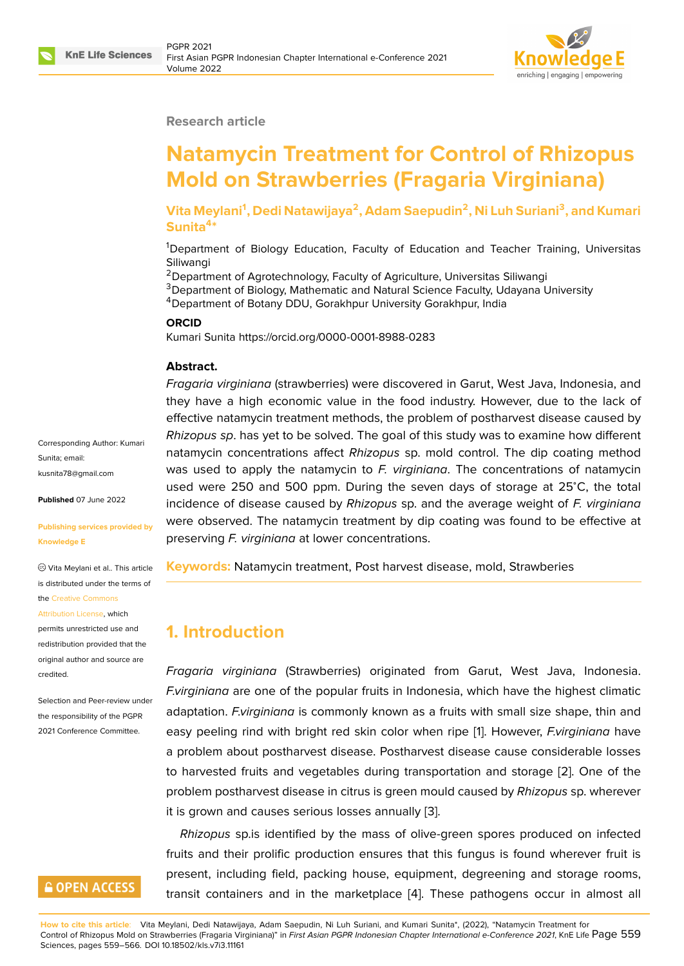#### **Research article**

# **Natamycin Treatment for Control of Rhizopus Mold on Strawberries (Fragaria Virginiana)**

**Vita Meylani<sup>1</sup> , Dedi Natawijaya<sup>2</sup> , Adam Saepudin<sup>2</sup> , Ni Luh Suriani<sup>3</sup> , and Kumari Sunita<sup>4</sup> \***

<sup>1</sup>Department of Biology Education, Faculty of Education and Teacher Training, Universitas **Siliwangi** 

<sup>2</sup> Department of Agrotechnology, Faculty of Agriculture, Universitas Siliwangi <sup>3</sup>Department of Biology, Mathematic and Natural Science Faculty, Udayana University <sup>4</sup>Department of Botany DDU, Gorakhpur University Gorakhpur, India

#### **ORCID**

Kumari Sunita https://orcid.org/0000-0001-8988-0283

#### **Abstract.**

*Fragaria virginiana* (strawberries) were discovered in Garut, West Java, Indonesia, and they have a high economic value in the food industry. However, due to the lack of effective natamycin treatment methods, the problem of postharvest disease caused by *Rhizopus sp*. has yet to be solved. The goal of this study was to examine how different natamycin concentrations affect *Rhizopus* sp. mold control. The dip coating method was used to apply the natamycin to *F. virginiana*. The concentrations of natamycin used were 250 and 500 ppm. During the seven days of storage at 25<sup>∘</sup>C, the total incidence of disease caused by *Rhizopus* sp. and the average weight of *F. virginiana* were observed. The natamycin treatment by dip coating was found to be effective at preserving *F. virginiana* at lower concentrations.

**Keywords:** Natamycin treatment, Post harvest disease, mold, Strawberies

# **1. Introduction**

*Fragaria virginiana* (Strawberries) originated from Garut, West Java, Indonesia. *F.virginiana* are one of the popular fruits in Indonesia, which have the highest climatic adaptation. *F.virginiana* is commonly known as a fruits with small size shape, thin and easy peeling rind with bright red skin color when ripe [1]. However, *F.virginiana* have a problem about postharvest disease. Postharvest disease cause considerable losses to harvested fruits and vegetables during transportation and storage [2]. One of the problem postharvest disease in citrus is green mould ca[us](#page-6-0)ed by *Rhizopus* sp. wherever it is grown and causes serious losses annually [3].

*Rhizopus* sp.is identified by the mass of olive-green spores produc[ed](#page-6-1) on infected fruits and their prolific production ensures that this fungus is found wherever fruit is present, including field, packing house, equip[m](#page-6-2)ent, degreening and storage rooms, transit containers and in the marketplace [4]. These pathogens occur in almost all

**How to cite this article**: Vita Meylani, Dedi Natawijaya, Adam Saepudin, Ni Luh Suriani, and Kumari Sunita\*, (2022), "Natamycin Treatment for Control of Rhizopus Mold on Strawberries (Fragaria Virginiana)" in *First Asian PGPR Indonesian Chapter International e-Conference 2021*, KnE Life Page 559 Sciences, pages 559–566. DOI 10.18502/kls.v7i3.11161

Corresponding Author: Kumari Sunita; email: kusnita78@gmail.com

**Published** 07 June 2022

#### **[Publishing services p](mailto:kusnita78@gmail.com)rovided by Knowledge E**

Vita Meylani et al.. This article is distributed under the terms of the Creative Commons

#### Attribution License, which

permits unrestricted use and redistribution provided that the orig[inal author and sou](https://creativecommons.org/licenses/by/4.0/)rce are [credited.](https://creativecommons.org/licenses/by/4.0/)

Selection and Peer-review under the responsibility of the PGPR 2021 Conference Committee.

# **GOPEN ACCESS**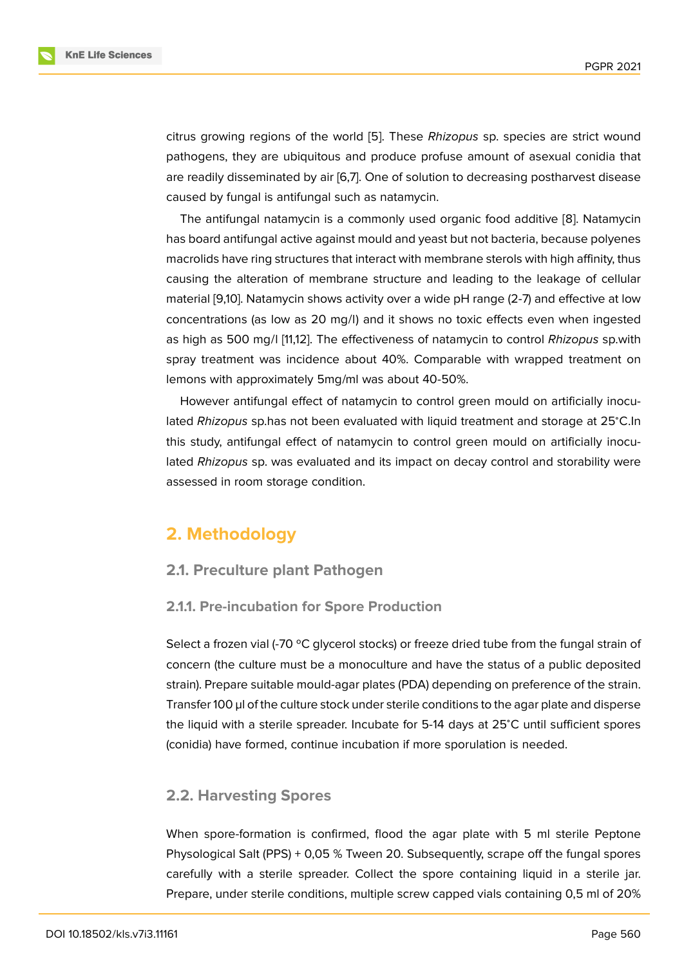citrus growing regions of the world [5]. These *Rhizopus* sp. species are strict wound pathogens, they are ubiquitous and produce profuse amount of asexual conidia that are readily disseminated by air [6,7]. One of solution to decreasing postharvest disease caused by fungal is antifungal such a[s](#page-6-3) natamycin.

The antifungal natamycin is a commonly used organic food additive [8]. Natamycin has board antifungal active against mould and yeast but not bacteria, because polyenes macrolids have ring structures that interact with membrane sterols with high affinity, thus causing the alteration of membrane structure and leading to the leak[ag](#page-6-4)e of cellular material [9,10]. Natamycin shows activity over a wide pH range (2-7) and effective at low concentrations (as low as 20 mg/l) and it shows no toxic effects even when ingested as high as 500 mg/l [11,12]. The effectiveness of natamycin to control *Rhizopus* sp.with spray treatment was incidence about 40%. Comparable with wrapped treatment on lemons with approximately 5mg/ml was about 40-50%.

However antifungal effect of natamycin to control green mould on artificially inoculated *Rhizopus* sp.has not been evaluated with liquid treatment and storage at 25<sup>∘</sup>C.In this study, antifungal effect of natamycin to control green mould on artificially inoculated *Rhizopus* sp. was evaluated and its impact on decay control and storability were assessed in room storage condition.

# **2. Methodology**

## **2.1. Preculture plant Pathogen**

#### **2.1.1. Pre-incubation for Spore Production**

Select a frozen vial (-70 °C glycerol stocks) or freeze dried tube from the fungal strain of concern (the culture must be a monoculture and have the status of a public deposited strain). Prepare suitable mould-agar plates (PDA) depending on preference of the strain. Transfer 100 µl of the culture stock under sterile conditions to the agar plate and disperse the liquid with a sterile spreader. Incubate for 5-14 days at 25<sup>∘</sup>C until sufficient spores (conidia) have formed, continue incubation if more sporulation is needed.

## **2.2. Harvesting Spores**

When spore-formation is confirmed, flood the agar plate with 5 ml sterile Peptone Physological Salt (PPS) + 0,05 % Tween 20. Subsequently, scrape off the fungal spores carefully with a sterile spreader. Collect the spore containing liquid in a sterile jar. Prepare, under sterile conditions, multiple screw capped vials containing 0,5 ml of 20%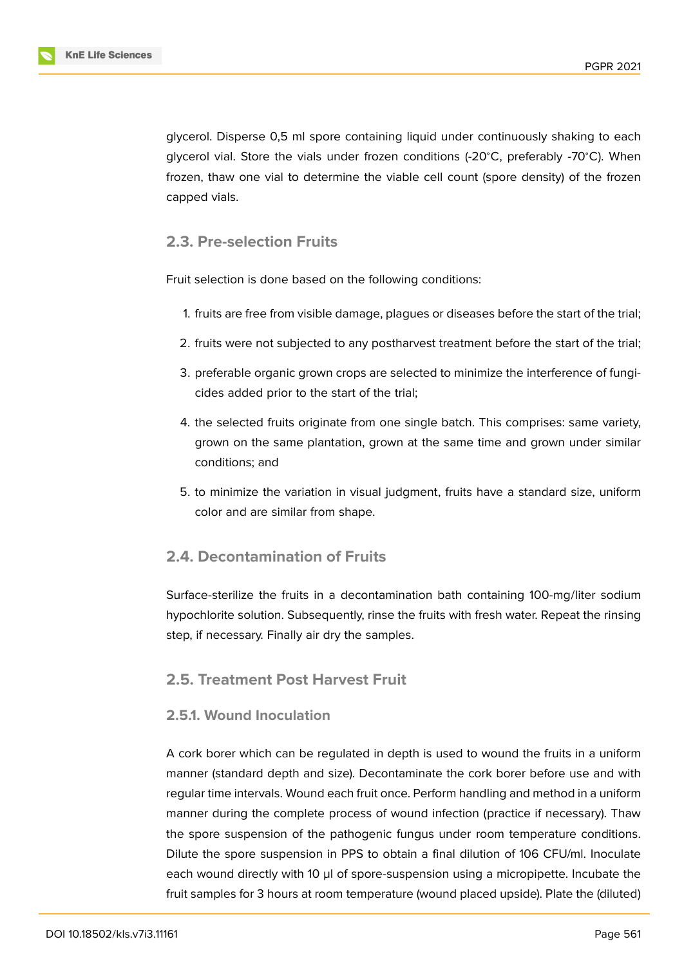glycerol. Disperse 0,5 ml spore containing liquid under continuously shaking to each glycerol vial. Store the vials under frozen conditions (-20<sup>∘</sup>C, preferably -70<sup>∘</sup>C). When frozen, thaw one vial to determine the viable cell count (spore density) of the frozen capped vials.

### **2.3. Pre-selection Fruits**

Fruit selection is done based on the following conditions:

- 1. fruits are free from visible damage, plagues or diseases before the start of the trial;
- 2. fruits were not subjected to any postharvest treatment before the start of the trial;
- 3. preferable organic grown crops are selected to minimize the interference of fungicides added prior to the start of the trial;
- 4. the selected fruits originate from one single batch. This comprises: same variety, grown on the same plantation, grown at the same time and grown under similar conditions; and
- 5. to minimize the variation in visual judgment, fruits have a standard size, uniform color and are similar from shape.

### **2.4. Decontamination of Fruits**

Surface-sterilize the fruits in a decontamination bath containing 100-mg/liter sodium hypochlorite solution. Subsequently, rinse the fruits with fresh water. Repeat the rinsing step, if necessary. Finally air dry the samples.

## **2.5. Treatment Post Harvest Fruit**

#### **2.5.1. Wound Inoculation**

A cork borer which can be regulated in depth is used to wound the fruits in a uniform manner (standard depth and size). Decontaminate the cork borer before use and with regular time intervals. Wound each fruit once. Perform handling and method in a uniform manner during the complete process of wound infection (practice if necessary). Thaw the spore suspension of the pathogenic fungus under room temperature conditions. Dilute the spore suspension in PPS to obtain a final dilution of 106 CFU/ml. Inoculate each wound directly with 10 µl of spore-suspension using a micropipette. Incubate the fruit samples for 3 hours at room temperature (wound placed upside). Plate the (diluted)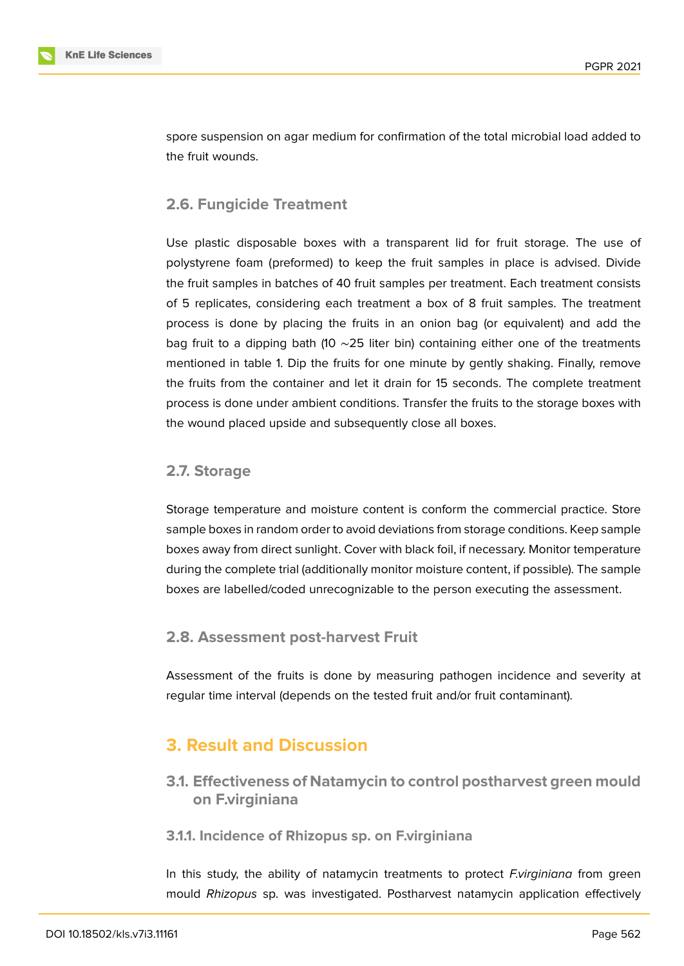

spore suspension on agar medium for confirmation of the total microbial load added to the fruit wounds.

## **2.6. Fungicide Treatment**

Use plastic disposable boxes with a transparent lid for fruit storage. The use of polystyrene foam (preformed) to keep the fruit samples in place is advised. Divide the fruit samples in batches of 40 fruit samples per treatment. Each treatment consists of 5 replicates, considering each treatment a box of 8 fruit samples. The treatment process is done by placing the fruits in an onion bag (or equivalent) and add the bag fruit to a dipping bath (10 ∼25 liter bin) containing either one of the treatments mentioned in table 1. Dip the fruits for one minute by gently shaking. Finally, remove the fruits from the container and let it drain for 15 seconds. The complete treatment process is done under ambient conditions. Transfer the fruits to the storage boxes with the wound placed upside and subsequently close all boxes.

#### **2.7. Storage**

Storage temperature and moisture content is conform the commercial practice. Store sample boxes in random order to avoid deviations from storage conditions. Keep sample boxes away from direct sunlight. Cover with black foil, if necessary. Monitor temperature during the complete trial (additionally monitor moisture content, if possible). The sample boxes are labelled/coded unrecognizable to the person executing the assessment.

#### **2.8. Assessment post-harvest Fruit**

Assessment of the fruits is done by measuring pathogen incidence and severity at regular time interval (depends on the tested fruit and/or fruit contaminant).

# **3. Result and Discussion**

**3.1. Effectiveness of Natamycin to control postharvest green mould on F.virginiana**

#### **3.1.1. Incidence of Rhizopus sp. on F.virginiana**

In this study, the ability of natamycin treatments to protect *F.virginiana* from green mould *Rhizopus* sp. was investigated. Postharvest natamycin application effectively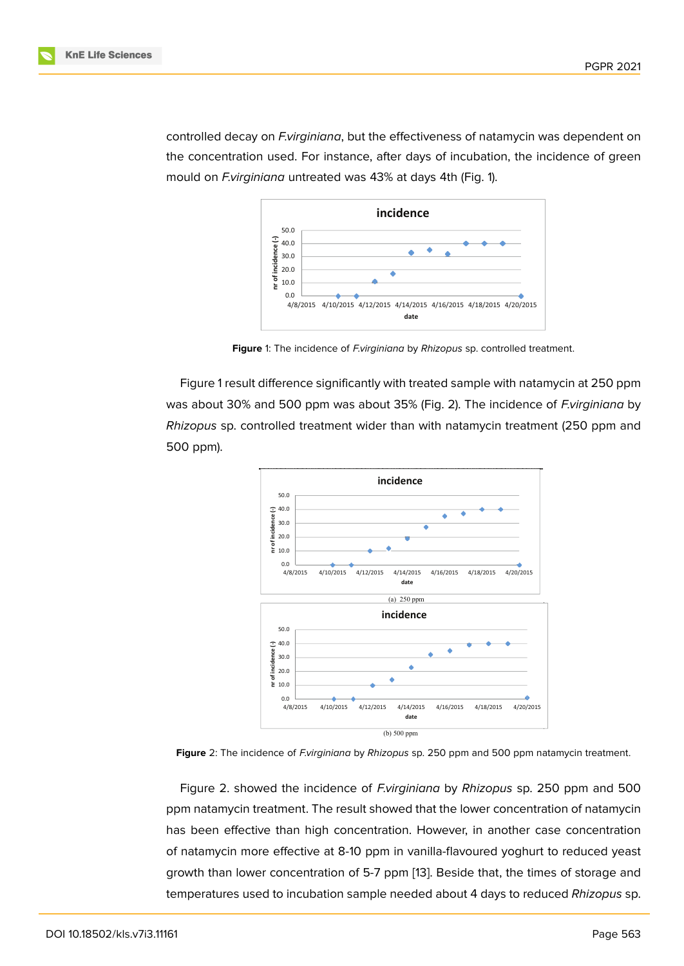controlled decay on *F.virginiana*, but the effectiveness of natamycin was dependent on the concentration used. For instance, after days of incubation, the incidence of green mould on *F.virginiana* untreated was 43% at days 4th (Fig. 1).



<span id="page-4-0"></span>**Figure** 1: The incidence of *F.virginiana* by *Rhizopus* sp. controlled treatment.

Figure 1 result difference significantly with treated sample with natamycin at 250 ppm was about 30% and 500 ppm was about 35% (Fig. 2). The incidence of *F.virginiana* by *Rhizopus* sp. controlled treatment wider than with natamycin treatment (250 ppm and 500 ppm[\).](#page-4-0)



**Figure** 2: The incidence of *F.virginiana* by *Rhizopus* sp. 250 ppm and 500 ppm natamycin treatment.

<span id="page-4-1"></span>Figure 2. showed the incidence of *F.virginiana* by *Rhizopus* sp. 250 ppm and 500 ppm natamycin treatment. The result showed that the lower concentration of natamycin has been effective than high concentration. However, in another case concentration of natam[yci](#page-4-1)n more effective at 8-10 ppm in vanilla-flavoured yoghurt to reduced yeast growth than lower concentration of 5-7 ppm [13]. Beside that, the times of storage and temperatures used to incubation sample needed about 4 days to reduced *Rhizopus* sp.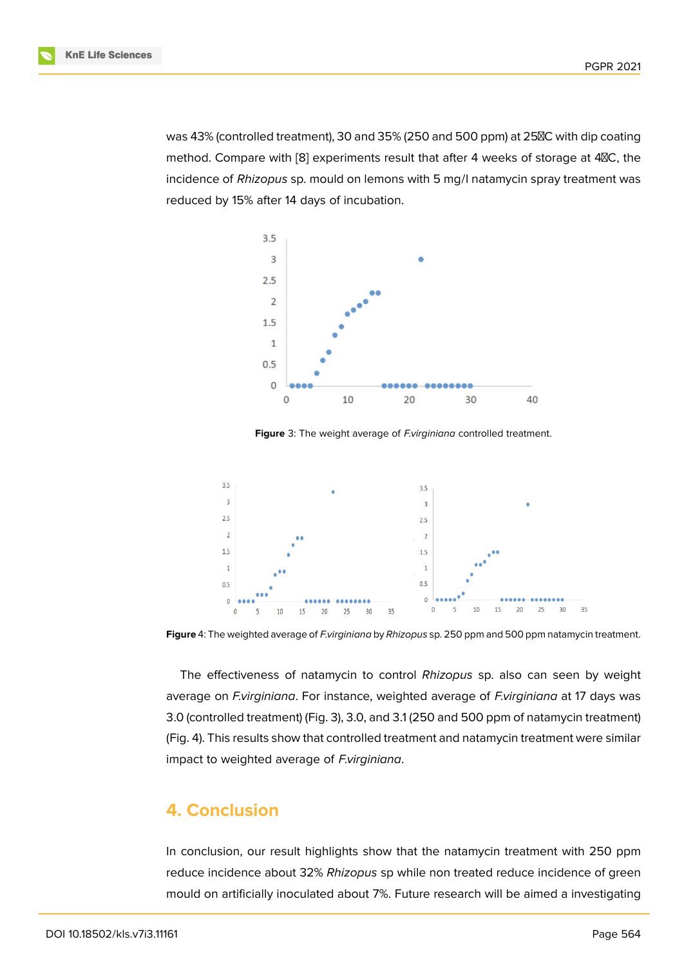PGPR 2021

was 43% (controlled treatment), 30 and 35% (250 and 500 ppm) at 25<sup>2</sup>C with dip coating method. Compare with [8] experiments result that after 4 weeks of storage at 4<sup>8</sup>C, the incidence of *Rhizopus* sp. mould on lemons with 5 mg/l natamycin spray treatment was reduced by 15% after 14 days of incubation.



**Figure** 3: The weight average of *F.virginiana* controlled treatment.



**Figure** 4: The weighted average of *F.virginiana* by *Rhizopus* sp. 250 ppm and 500 ppm natamycin treatment.

The effectiveness of natamycin to control *Rhizopus* sp. also can seen by weight average on *F.virginiana*. For instance, weighted average of *F.virginiana* at 17 days was 3.0 (controlled treatment) (Fig. 3), 3.0, and 3.1 (250 and 500 ppm of natamycin treatment) (Fig. 4). This results show that controlled treatment and natamycin treatment were similar impact to weighted average of *F.virginiana*.

## **4. Conclusion**

In conclusion, our result highlights show that the natamycin treatment with 250 ppm reduce incidence about 32% *Rhizopus* sp while non treated reduce incidence of green mould on artificially inoculated about 7%. Future research will be aimed a investigating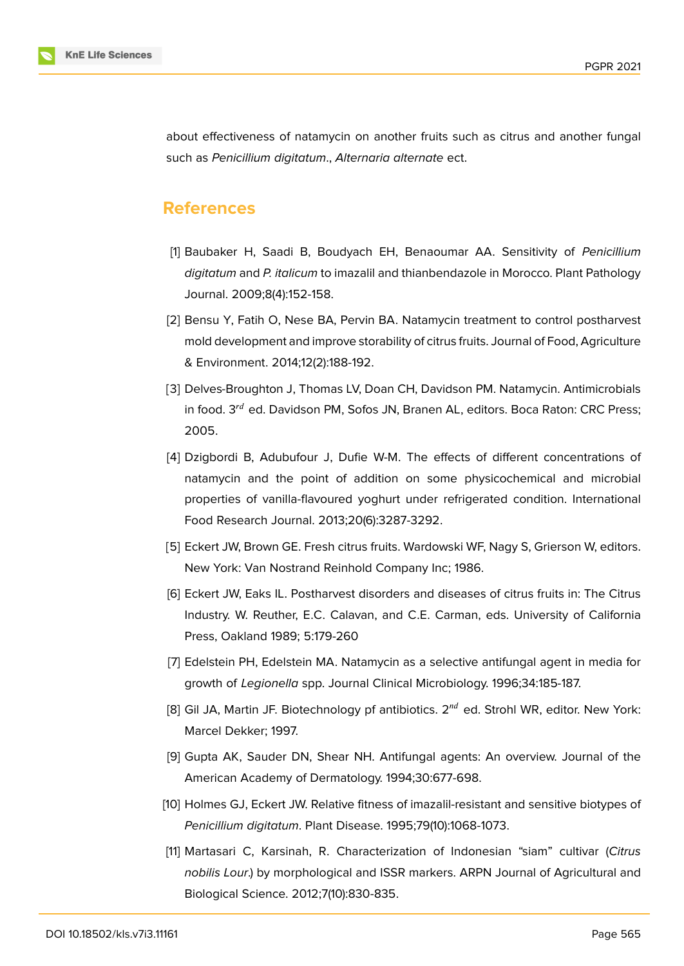

about effectiveness of natamycin on another fruits such as citrus and another fungal such as *Penicillium digitatum*., *Alternaria alternate* ect.

# **References**

- <span id="page-6-0"></span>[1] Baubaker H, Saadi B, Boudyach EH, Benaoumar AA. Sensitivity of *Penicillium digitatum* and *P. italicum* to imazalil and thianbendazole in Morocco. Plant Pathology Journal. 2009;8(4):152-158.
- <span id="page-6-1"></span>[2] Bensu Y, Fatih O, Nese BA, Pervin BA. Natamycin treatment to control postharvest mold development and improve storability of citrus fruits. Journal of Food, Agriculture & Environment. 2014;12(2):188-192.
- <span id="page-6-2"></span>[3] Delves-Broughton J, Thomas LV, Doan CH, Davidson PM. Natamycin. Antimicrobials in food.  $3^{rd}$  ed. Davidson PM, Sofos JN, Branen AL, editors. Boca Raton: CRC Press; 2005.
- [4] Dzigbordi B, Adubufour J, Dufie W-M. The effects of different concentrations of natamycin and the point of addition on some physicochemical and microbial properties of vanilla-flavoured yoghurt under refrigerated condition. International Food Research Journal. 2013;20(6):3287-3292.
- <span id="page-6-3"></span>[5] Eckert JW, Brown GE. Fresh citrus fruits. Wardowski WF, Nagy S, Grierson W, editors. New York: Van Nostrand Reinhold Company Inc; 1986.
- [6] Eckert JW, Eaks IL. Postharvest disorders and diseases of citrus fruits in: The Citrus Industry. W. Reuther, E.C. Calavan, and C.E. Carman, eds. University of California Press, Oakland 1989; 5:179-260
- [7] Edelstein PH, Edelstein MA. Natamycin as a selective antifungal agent in media for growth of *Legionella* spp. Journal Clinical Microbiology. 1996;34:185-187.
- <span id="page-6-4"></span>[8] Gil JA, Martin JF. Biotechnology pf antibiotics.  $2^{nd}$  ed. Strohl WR, editor. New York: Marcel Dekker; 1997.
- [9] Gupta AK, Sauder DN, Shear NH. Antifungal agents: An overview. Journal of the American Academy of Dermatology. 1994;30:677-698.
- [10] Holmes GJ, Eckert JW. Relative fitness of imazalil-resistant and sensitive biotypes of *Penicillium digitatum*. Plant Disease. 1995;79(10):1068-1073.
- [11] Martasari C, Karsinah, R. Characterization of Indonesian "siam" cultivar (*Citrus nobilis Lour*.) by morphological and ISSR markers. ARPN Journal of Agricultural and Biological Science. 2012;7(10):830-835.